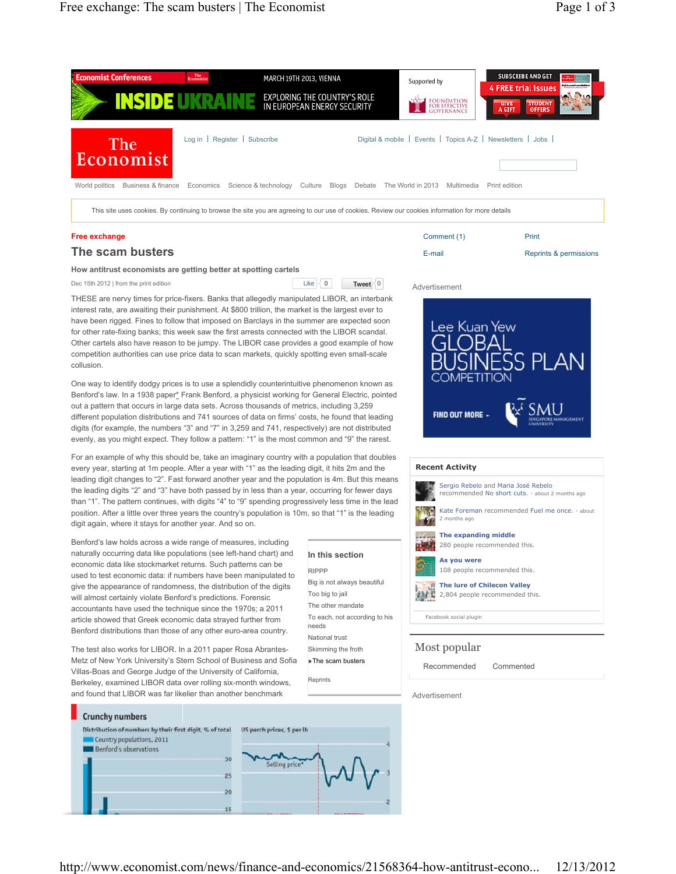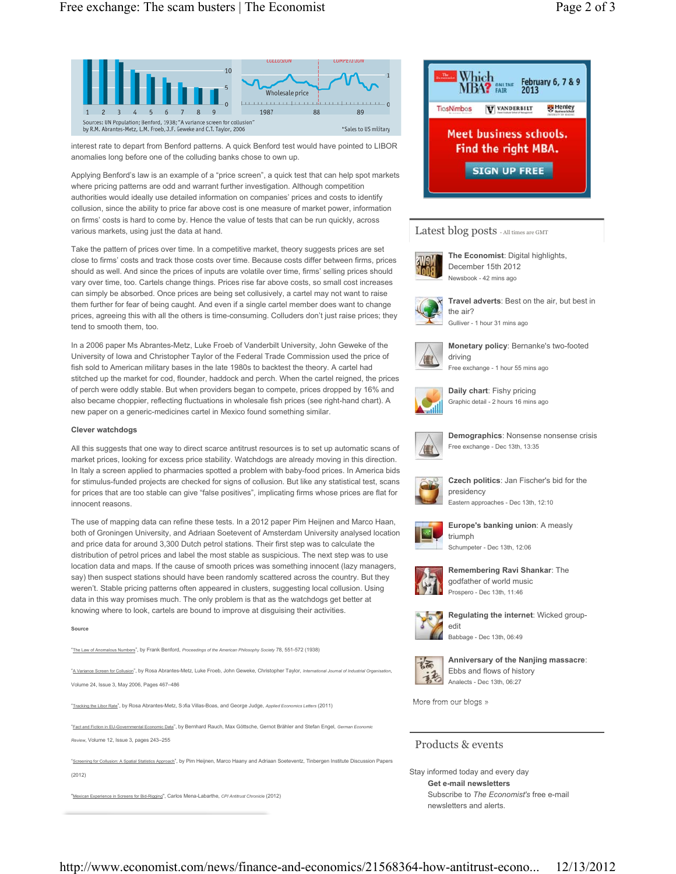

interest rate to depart from Benford patterns. A quick Benford test would have pointed to LIBOR anomalies long before one of the colluding banks chose to own up.

Applying Benford's law is an example of a "price screen", a quick test that can help spot markets where pricing patterns are odd and warrant further investigation. Although competition authorities would ideally use detailed information on companies' prices and costs to identify collusion, since the ability to price far above cost is one measure of market power, information on firms' costs is hard to come by. Hence the value of tests that can be run quickly, across various markets, using just the data at hand.

Take the pattern of prices over time. In a competitive market, theory suggests prices are set close to firms' costs and track those costs over time. Because costs differ between firms, prices should as well. And since the prices of inputs are volatile over time, firms' selling prices should vary over time, too. Cartels change things. Prices rise far above costs, so small cost increases can simply be absorbed. Once prices are being set collusively, a cartel may not want to raise them further for fear of being caught. And even if a single cartel member does want to change prices, agreeing this with all the others is time-consuming. Colluders don't just raise prices; they tend to smooth them, too.

In a 2006 paper Ms Abrantes-Metz, Luke Froeb of Vanderbilt University, John Geweke of the University of Iowa and Christopher Taylor of the Federal Trade Commission used the price of fish sold to American military bases in the late 1980s to backtest the theory. A cartel had stitched up the market for cod, flounder, haddock and perch. When the cartel reigned, the prices of perch were oddly stable. But when providers began to compete, prices dropped by 16% and also became choppier, reflecting fluctuations in wholesale fish prices (see right-hand chart). A new paper on a generic-medicines cartel in Mexico found something similar.

## **Clever watchdogs**

All this suggests that one way to direct scarce antitrust resources is to set up automatic scans of market prices, looking for excess price stability. Watchdogs are already moving in this direction. In Italy a screen applied to pharmacies spotted a problem with baby-food prices. In America bids for stimulus-funded projects are checked for signs of collusion. But like any statistical test, scans for prices that are too stable can give "false positives", implicating firms whose prices are flat for innocent reasons.

The use of mapping data can refine these tests. In a 2012 paper Pim Heijnen and Marco Haan, both of Groningen University, and Adriaan Soetevent of Amsterdam University analysed location and price data for around 3,300 Dutch petrol stations. Their first step was to calculate the distribution of petrol prices and label the most stable as suspicious. The next step was to use location data and maps. If the cause of smooth prices was something innocent (lazy managers, say) then suspect stations should have been randomly scattered across the country. But they weren't. Stable pricing patterns often appeared in clusters, suggesting local collusion. Using data in this way promises much. The only problem is that as the watchdogs get better at knowing where to look, cartels are bound to improve at disguising their activities.

## **Source**

"The Law of Anomalous Numbers", by Frank Benford, *Proceedings of the American Philosophy Society* 78, 551-572 (1938)

"A Variance Screen for Collusion", by Rosa Abrantes-Metz, Luke Froeb, John Geweke, Christopher Taylor, *International Journal of Industrial Organisation*, Volume 24, Issue 3, May 2006, Pages 467–486

"Tracking the Libor Rate", by Rosa Abrantes-Metz, Sofia Villas-Boas, and George Judge, *Applied Economics Letters* (2011)

"Fact and Fiction in EU-Governmental Economic Data", by Bernhard Rauch, Max Göttsche, Gernot Brähler and Stefan Engel, *German Economic Review*, Volume 12, Issue 3, pages 243–255

ing for Collusion: A Spatial Statistics Approach", by Pim Heijnen, Marco Haany and Adriaan Soeteventz, Tinbergen Institute Discussion Papers (2012)

rience in Screens for Bid-Rigging", Carlos Mena-Labarthe, *CPI Antitrust Chronicle* (2012)



## Latest blog posts - All times are GMT



**The Economist**: Digital highlights, December 15th 2012 Newsbook - 42 mins ago



**Travel adverts:** Best on the air, but best in the air? Gulliver - 1 hour 31 mins ago



**Monetary policy**: Bernanke's two-footed driving Free exchange - 1 hour 55 mins ago



**Daily chart**: Fishy pricing Graphic detail - 2 hours 16 mins ago



**Demographics**: Nonsense nonsense crisis Free exchange - Dec 13th, 13:35



**Czech politics**: Jan Fischer's bid for the presidency Eastern approaches - Dec 13th, 12:10

**Europe's banking union**: A measly



triumph Schumpeter - Dec 13th, 12:06



**Remembering Ravi Shankar**: The godfather of world music Prospero - Dec 13th, 11:46



**Regulating the internet**: Wicked groupedit Babbage - Dec 13th, 06:49



**Anniversary of the Nanjing massacre**: Ebbs and flows of history Analects - Dec 13th, 06:27

More from our blogs »

## Products & events

Stay informed today and every day **Get e-mail newsletters** Subscribe to *The Economist's* free e-mail newsletters and alerts.